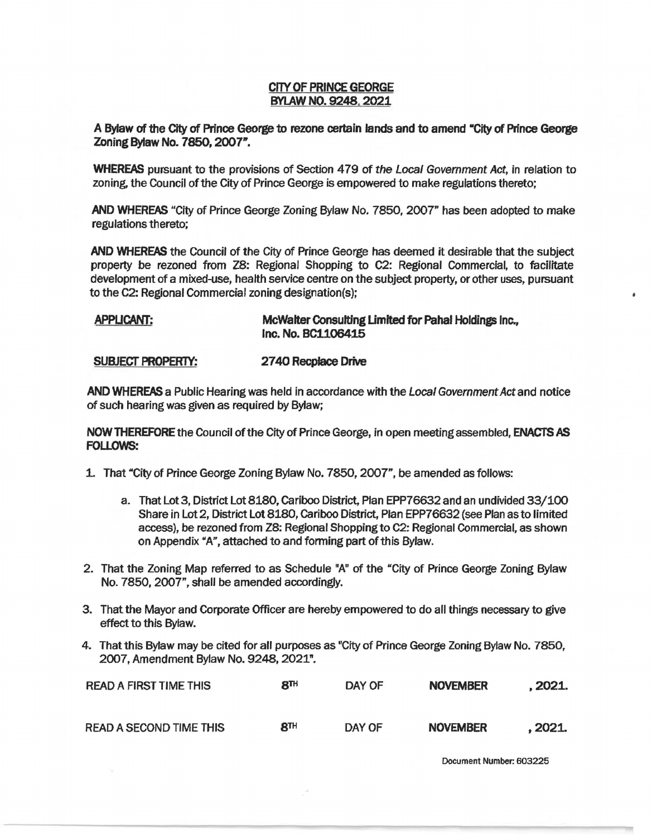## **CITY OF PRINCE GEORGE fNL&..W NO. 9248. 2021**

**A Bylaw of the City of Prince George to rezone certain lands and to amend "City of Prince George Zoning Bylaw No. 7850,** *2001•.* 

**WHEREAS** pursuant to the provisions of Section 4 79 of *the* Local Government Act, in relation to zoning, the Council of the City of Prince George is empowered to make regulations thereto;

**AND WHEREAS** "City of Prince George Zoning Bylaw No. 7850, 2007" has been adopted to make regulations thereto;

AND WHEREAS the Council of the City of Prince George has deemed it desirable that the subject property be rezoned from ZS: Regional Shopping to C2: Regional Commercial, to facilitate development of a mixed-use, health service centre on the subject property, or other uses, pursuant to the C2: Regional Commercial zoning designation(s); •

## **APPLICANT: McWalter Consulting** Limited **for Pahal Holdings** Inc., **Inc. No. BC1106415**

## **SUBJECT PROPERTY: 2740 Recpface Drive**

AND WHEREAS a Public Hearing was held in accordance with the Local Government Act and notice of such hearing was given as required by Bylaw;

**NOW THEREFORE** the Council of the City of Prince George, in open meeting assembled, **ENACTS PS FOLLOWS:** 

- 1. That "City of Prince George Zoning Bylaw No. 7850, 2007", be amended as follows:
	- a. That Lot 3, District Lot 8180, Cariboo District, Plan EPP76632 and an undivided 33/100 Share in Lot 2, District Lot 8180, Cariboo District, Plan EPP76632 (see Plan as to limited access), be rezoned from 28: Regional Shopping to C2: Regional Commercial, as shown on Appendix "A", attached to and forming part of this Bylaw.
- 2. That the Zoning Map referred to as Schedule "A" of the "City of Prince George Zoning Bylaw No. 7850, 2007", shall be amended accordingly.
- 3. That the Mayor and Corporate Officer are hereby empowered to do all things necessary to give effect to this Bylaw.
- 4. That this Bylaw may be cited for all purposes as "City of Prince George Zoning Bylaw No. 7850, 2007, Amendment Bylaw No. 9248, 2021".

| <b>READ A FIRST TIME THIS</b>  | $8$ TH          | DAY OF | <b>NOVEMBER</b> | . 2021. |
|--------------------------------|-----------------|--------|-----------------|---------|
| <b>READ A SECOND TIME THIS</b> | 8 <sup>TH</sup> | DAY OF | <b>NOVEMBER</b> | . 2021. |

Document Number: 603225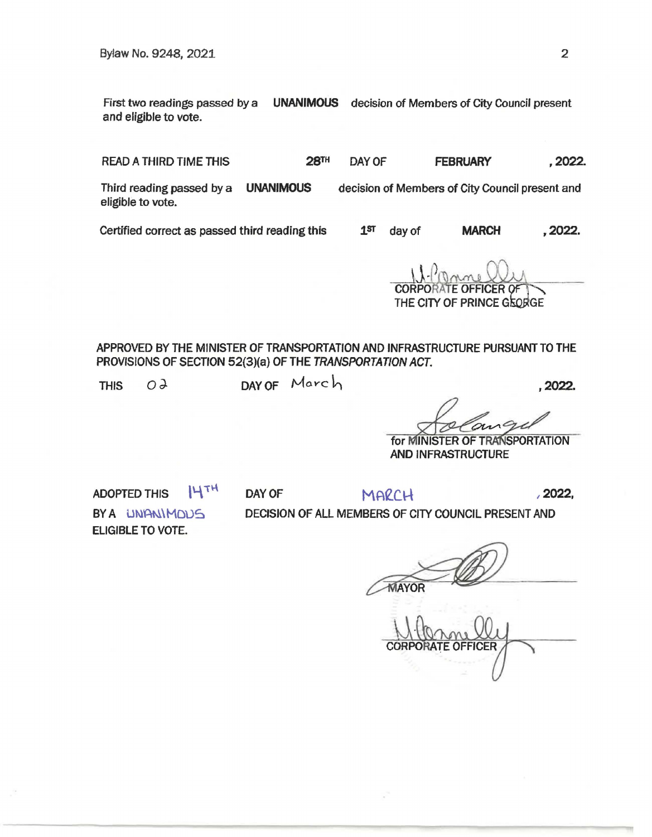First two readings passed by a **UNANIMOUS** decision of Members of City Council present and eligible to vote.

READ A THIRD TIME THIS **28TH** DAYOF **FEBRUARY** , **2022.** 

Third reading passed by a **UNANIMOUS**  eligible to vote.

Certified correct as passed third reading this

1sr dayof **MARCH ,2022.** 

decision of Members of City Council present and

day of **MARCH** , 2022.<br>
<br>
U. CORPORATE OFFICER OF<br>
THE CITY OF PRINCE GEORGE THE CITY OF PRINCE GROEGE

APPROVED BY THE MINISTER OF TRANSPORTATION AND INFRASTRUCTURE PURSUANT TO THE PROVISIONS OF SECTION 52(3)(a) OF THE TRANSPORTATION ACT.

 $THIS$   $O<sup>2</sup>$  DAY OF March . **2022.** 

for MINISTER OF TRANSPORTATION AND INFRASTRUCTURE

ADOPTED THIS  $|\mathcal{H}^{\text{TH}}|$ BY A UNANIMOUS ELIGIBLE TO VOTE.

DAY OF **, 2022,** 

DECISION OF ALL MEMBERS OF CITY COUNCIL PRESENT AND

 $\overbrace{C}$  MAYOR

**CORPORATE OFFICER**